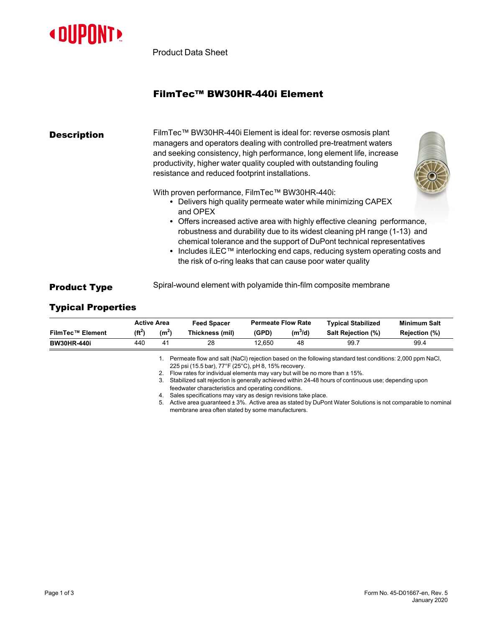

Product Data Sheet

## FilmTec™ BW30HR-440i Element

| <b>Description</b>  | FilmTec™ BW30HR-440i Element is ideal for: reverse osmosis plant<br>managers and operators dealing with controlled pre-treatment waters<br>and seeking consistency, high performance, long element life, increase<br>productivity, higher water quality coupled with outstanding fouling<br>resistance and reduced footprint installations.                                                                                                                                                                              |  |  |  |  |  |
|---------------------|--------------------------------------------------------------------------------------------------------------------------------------------------------------------------------------------------------------------------------------------------------------------------------------------------------------------------------------------------------------------------------------------------------------------------------------------------------------------------------------------------------------------------|--|--|--|--|--|
|                     | With proven performance, FilmTec™ BW30HR-440i:<br>• Delivers high quality permeate water while minimizing CAPEX<br>and OPEX<br>• Offers increased active area with highly effective cleaning performance,<br>robustness and durability due to its widest cleaning pH range (1-13) and<br>chemical tolerance and the support of DuPont technical representatives<br>• Includes iLEC <sup>™</sup> interlocking end caps, reducing system operating costs and<br>the risk of o-ring leaks that can cause poor water quality |  |  |  |  |  |
| <b>Product Type</b> | Spiral-wound element with polyamide thin-film composite membrane                                                                                                                                                                                                                                                                                                                                                                                                                                                         |  |  |  |  |  |

## Typical Properties

|                         | <b>Active Area</b> |                   | <b>Feed Spacer</b>                                      | <b>Permeate Flow Rate</b> |           | <b>Typical Stabilized</b>                                                                                | <b>Minimum Salt</b> |  |
|-------------------------|--------------------|-------------------|---------------------------------------------------------|---------------------------|-----------|----------------------------------------------------------------------------------------------------------|---------------------|--|
| <b>FilmTec™ Element</b> | $(f t^2)$          | (m <sup>2</sup> ) | Thickness (mil)                                         | (GPD)                     | $(m^3/d)$ | Salt Rejection (%)                                                                                       | Rejection (%)       |  |
| <b>BW30HR-440i</b>      | 440                | 41                | 28                                                      | 12.650                    | 48        | 99.7                                                                                                     | 99.4                |  |
|                         |                    |                   | $OOF = 1/4F F L = 1/770F /0F8O1 = 110.4F0/10F5 = 0.005$ |                           |           | Permeate flow and salt (NaCl) rejection based on the following standard test conditions: 2,000 ppm NaCl, |                     |  |

225 psi (15.5 bar), 77°F (25°C), pH 8, 15% recovery. 2. Flow rates for individual elements may vary but will be no more than ± 15%.

3. Stabilized salt rejection is generally achieved within 24-48 hours of continuous use; depending upon feedwater characteristics and operating conditions.

4. Sales specifications may vary as design revisions take place.

5. Active area guaranteed ± 3%. Active area as stated by DuPont Water Solutions is not comparable to nominal membrane area often stated by some manufacturers.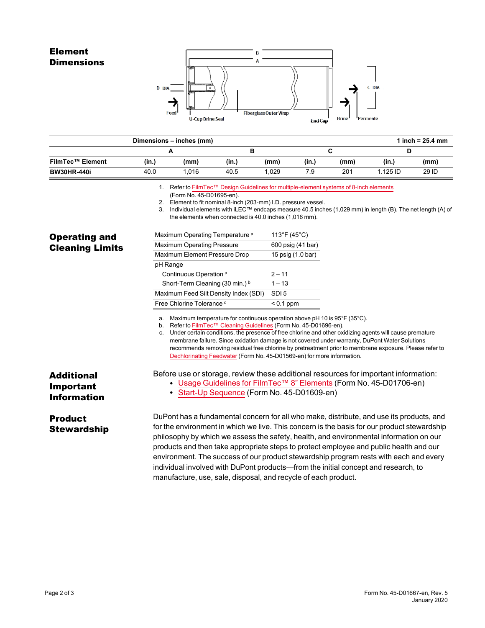## Element **Dimensions**



|                    |       | Dimensions - inches (mm)                                                              |       |       |       |      |          | 1 inch = $25.4$ mm |
|--------------------|-------|---------------------------------------------------------------------------------------|-------|-------|-------|------|----------|--------------------|
|                    |       | ∼                                                                                     |       |       |       |      |          |                    |
| FilmTec™ Element   | (in.) | (mm)                                                                                  | (in.) | (mm)  | (in.) | (mm) | (in.)    | (mm)               |
| <b>BW30HR-440i</b> | 40.0  | 1.016                                                                                 | 40.5  | 1.029 | 7.9   | 201  | 1.125 ID | 29 ID              |
|                    |       | . Refer to FilmTec™ Design Guidelines for multiple-element systems of 8-inch elements |       |       |       |      |          |                    |

(Form No. 45-D01695-en).

2. Element to fit nominal 8-inch (203-mm) I.D. pressure vessel.

3. Individual elements with iLEC™ endcaps measure 40.5 inches (1,029 mm) in length (B). The net length (A) of

|                                               | the elements when connected is 40.0 inches (1,016 mm).                       | 3. Individual elements with ILEC <sup>(w</sup> ) endcaps measure 40.5 inches (1,029 mm) in length (B). The net length (A) (                                                                                                                                                                                                                                                                                                                                          |  |  |  |  |  |  |
|-----------------------------------------------|------------------------------------------------------------------------------|----------------------------------------------------------------------------------------------------------------------------------------------------------------------------------------------------------------------------------------------------------------------------------------------------------------------------------------------------------------------------------------------------------------------------------------------------------------------|--|--|--|--|--|--|
| <b>Operating and</b>                          | Maximum Operating Temperature <sup>a</sup>                                   | $113^{\circ}F(45^{\circ}C)$                                                                                                                                                                                                                                                                                                                                                                                                                                          |  |  |  |  |  |  |
| <b>Cleaning Limits</b>                        | <b>Maximum Operating Pressure</b>                                            | 600 psig (41 bar)                                                                                                                                                                                                                                                                                                                                                                                                                                                    |  |  |  |  |  |  |
|                                               | Maximum Element Pressure Drop                                                | 15 psig (1.0 bar)                                                                                                                                                                                                                                                                                                                                                                                                                                                    |  |  |  |  |  |  |
|                                               | pH Range                                                                     |                                                                                                                                                                                                                                                                                                                                                                                                                                                                      |  |  |  |  |  |  |
|                                               | Continuous Operation <sup>a</sup>                                            | $2 - 11$                                                                                                                                                                                                                                                                                                                                                                                                                                                             |  |  |  |  |  |  |
|                                               | Short-Term Cleaning (30 min.) b                                              | $1 - 13$                                                                                                                                                                                                                                                                                                                                                                                                                                                             |  |  |  |  |  |  |
|                                               | Maximum Feed Silt Density Index (SDI)                                        | SDI <sub>5</sub>                                                                                                                                                                                                                                                                                                                                                                                                                                                     |  |  |  |  |  |  |
|                                               | Free Chlorine Tolerance c                                                    | $< 0.1$ ppm                                                                                                                                                                                                                                                                                                                                                                                                                                                          |  |  |  |  |  |  |
|                                               | c.<br>Dechlorinating Feedwater (Form No. 45-D01569-en) for more information. | Under certain conditions, the presence of free chlorine and other oxidizing agents will cause premature<br>membrane failure. Since oxidation damage is not covered under warranty, DuPont Water Solutions<br>recommends removing residual free chlorine by pretreatment prior to membrane exposure. Please refer to                                                                                                                                                  |  |  |  |  |  |  |
| Additional<br>Important<br><b>Information</b> | • Start-Up Sequence (Form No. 45-D01609-en)                                  | Before use or storage, review these additional resources for important information:<br>• Usage Guidelines for FilmTec™ 8" Elements (Form No. 45-D01706-en)                                                                                                                                                                                                                                                                                                           |  |  |  |  |  |  |
| <b>Product</b><br>Stewardship                 |                                                                              | DuPont has a fundamental concern for all who make, distribute, and use its products, and<br>for the environment in which we live. This concern is the basis for our product stewardship<br>philosophy by which we assess the safety, health, and environmental information on our<br>products and then take appropriate steps to protect employee and public health and our<br>environment. The success of our product stewardship program rests with each and every |  |  |  |  |  |  |

manufacture, use, sale, disposal, and recycle of each product.

individual involved with DuPont products—from the initial concept and research, to